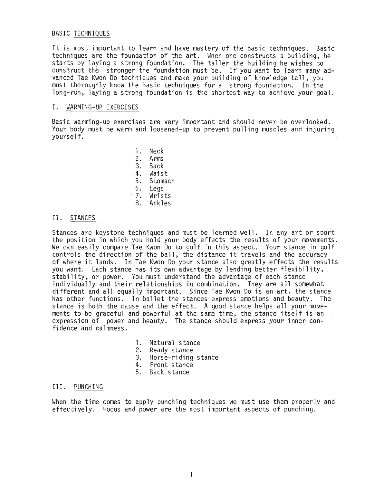# BASIC TECHNIQUES

It is most important to learn and have mastery of the basic techniques. Basic techniques are the foundation of the art. When one constructs a building, he starts by laying a strong foundation. The taller the building he wishes to construct the stronger the foundation must be. If you want to learn many advanced Tae Kwon Do techniques and make your building of knowledge tall, you must thoroughly know the basic techniques for a strong foundation. In the long-run, laying a strong foundation is the shortest way to achieve your goal.

# I. WARMING-UP EXERCISES

Basic warming-up exercises are very important and should never be overlooked. Your body must be warm and loosened-up to prevent pulling muscles and injuring yourse1f.

> 1. Neck 2. Arms 3. Back 4. Waist 5; Stomach 6. Legs<br>7. Wrists 8. Ankles

# II. STANCES

Stances are keystone techniques and must be learned well. In any art or sport the position in which you hold your body effects the results of your movements. We can easily compare Tae Kwon Do to golf in this aspect. Your stance in golf controls the direction of the ball, the distance it travels and the accuracy of where it lands. In Tae Kwon Do your stance also greatly effects the results you want. Each stance has its own advantage by lending better flexibility, stability, or power. You must understand the advantage of each stance individually and their relationships in combination. They are all somewhat different and all equally important. Since Tae Kwon Do is an art, the stance has other functions. In ballet the stances express emotions and beauty. The stance is both the cause and the effect. A good stance helps all your movements to be graceful and powerful at the same time, the stance itself is an expression of power and beauty. The stance should express your inner confidence and calmness.

- 1. Natural stance
- 2. Ready stance
- 3. Horse-riding stance
- 4. Front stance
- 5. Back stance

# II1. PUNCHING

When the time comes to apply punching techniques we must use them properly and effectively. Focus and power are the most important aspects of punching.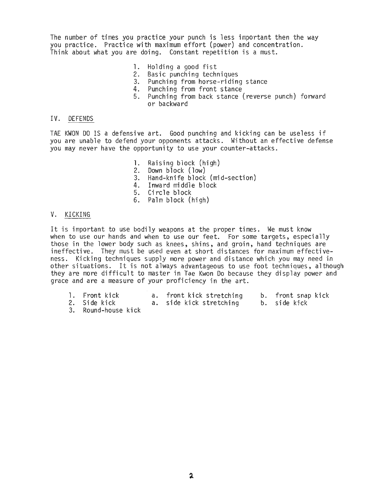The number of times you practice your punch is less important then the way you practice. Practice with maximum effort (power) and concentration. Think about what you are doing. Constant repetition is a must.

- 1. Holding a good fist<br>2. Basic punching tech
- Basic punching techniques
- 3. Punching from horse-riding stance
- 4. Punching from front stance
- 5. Punching from back stance (reverse punch) forward or backward

# IV. DEFENDS

TAE KWON DO IS a defensive art. Good punching and kicking can be useless if you are unable to defend your opponents attacks. Without an effective defense you may never have the opportunity to use your counter-attacks.

- 1. Raising block (high)<br>2. Down block (low)
- Down block (low)
- 3. Hand-knife block (mid-section)
- 4. Inward middle block
- 5. Circle block
- 6. Palm block (high)

# V. KICKING

It is important to use bodily weapons at the proper times. We must know when to use our hands and when to use our feet. For some targets, especially those in the lower body such as knees, shins, and groin, hand techniques are ineffective. They must be used even at short distances for maximum effectiveness. Kicking techniques supply more power and distance which you may need in other situations. It is not always advantageous to use foot techniques, although they are more difficult to master in Tae Kwon Do because they display power and grace and are a measure of your proficiency in the art.

| 1. Front kick | a. front kick stretching | b. front snap kick |
|---------------|--------------------------|--------------------|
| 2. Side kick  | a. side kick stretching  | b. side kick       |

3. Round-house kick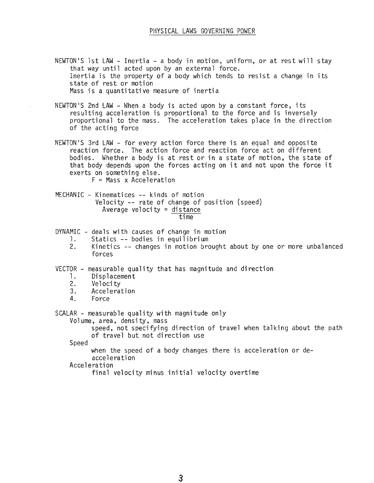- NEWTON'S 1st LAW Inertia a body in motion, uniform, or at rest will stay that way until acted upon by an external force. Inertia is the property of a body which tends to resist a change in its state of rest or motion Mass is a quantitative measure of inertia
- NEWTON'S 2nd LAW When a body is acted upon by a constant force, its resulting acceleration is proportional to the force and is inversely proportional to the mass. The acceleration takes place in the direction of the acting force
- NEWTON'S 3rd LAW for every action force there is an equal and opposite reaction force. The action force and reaction force act on different bodies. Whether a body is at rest or in a state of motion, the state of that body depends upon the forces acting on it and not upon the force it exerts on something else.
	- $F =$  Mass x Acceleration
- MECHANIC Kinematices -- kinds of motion Velocity -- rate of change of position (speed) Average velocity = distance time

DYNAMIC - deals with causes of change in motion

- 1. Statics -- bodies in equilibrium<br>2. Kinetics -- changes in motion bro
- 2. Kinetics -- changes in motion brought about by one or more unbalanced forces

VECTOR - measurable quality that has magnitude and direction<br>1. Displacement

- Di sp1acement
- 2. Veloci ty
- 3. Acceleration
- 4. Force

SCALAR - measurable quality with magnitude only

Volume, area, density, mass

speed, not specifying direction of travel when talking about the path of travel but not direction use

Speed

when the speed of a body changes there is acceleration or deacceleration

Acceleration

final velocity minus initial velocity overtime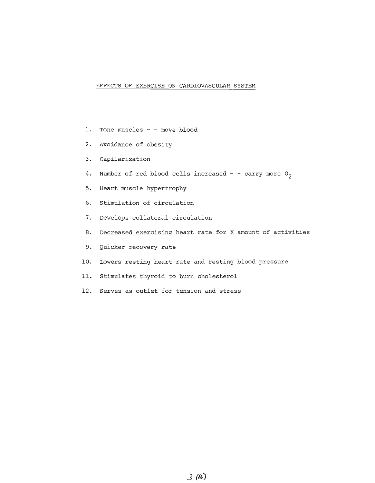#### EFFECTS OF EXERCISE ON CARDIOVASCULAR SYSTEM

- 1. Tone muscles - move blood
- 2. Avoidance of obesity
- 3. Capilarization
- 4. Number of red blood cells increased - carry more  $0<sub>2</sub>$
- 5. Heart muscle hypertrophy
- 6. Stimulation of circulation
- 7. Develops collateral circulation
- 8. Decreased exercising heart rate for <sup>X</sup> amount of activities
- 9. Quicker recovery rate
- 10. Lowers resting heart rate and resting blood pressure
- 11. Stimulates thyroid to burn cholesterol
- 12. Serves as outlet for tension and stress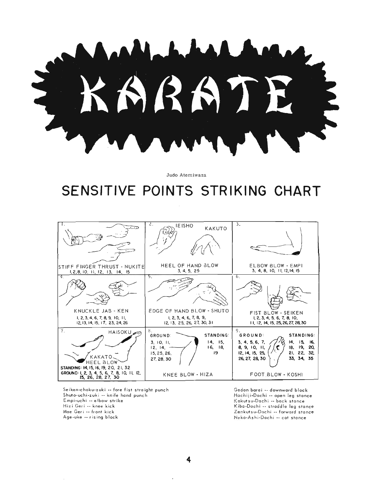

Judo Atemiwaza

# **SENSITIVE POINTS STRIKING CHART**

|                                                                                                   | $\mathcal{L}$ .<br>IE ISHO<br>KAKUTO                                                                                    | 3.                                                                                                                                                                             |
|---------------------------------------------------------------------------------------------------|-------------------------------------------------------------------------------------------------------------------------|--------------------------------------------------------------------------------------------------------------------------------------------------------------------------------|
| ISTIFF FINGER THRUST - NUKITEI<br>1, 2, 8, 10, 11, 12, 13, 14, 15                                 | HEEL OF HAND BLOW<br>3, 4, 5, 25                                                                                        | ELBOW BLOW - EMPI<br>3, 4, 8, 10, 11, 12, 14, 15                                                                                                                               |
| T4.                                                                                               | 5.                                                                                                                      | 6.                                                                                                                                                                             |
| KNUCKLE JAB - KEN<br>1, 2, 3, 4, 6, 7, 8, 9, 10, 11,<br>12, 13, 14, 15, 17, 23, 24, 26            | EDGE OF HAND BLOW - SHUTO<br>1, 2, 3, 4, 6, 7, 8, 9,<br>12, 13, 25, 26, 27, 30, 31                                      | FIST BLOW - SEIKEN<br>1, 2, 3, 4, 5, 6, 7, 8, 10,<br>11, 12, 14, 15, 25, 26, 27, 28, 30                                                                                        |
| 7.<br>HAISOKU <sub>40</sub><br>KAKATO<br><b>HEEL BLOW</b><br>STANDING: 14, 15, 16, 19, 20, 21, 32 | 8.<br><b>STANDING:</b><br>GROUND:<br>14, 15,<br>3, 10, 11,<br>16, 18,<br>$12, 14, -$<br>19<br>15, 25, 26,<br>27, 28, 30 | 9.<br><b>STANDING:</b><br><b>GROUND:</b><br>14, 15,<br>3, 4, 5, 6, 7,<br>16.<br>18, 19, 20,<br>8, 9, 10, 11,<br>21, 22, 32,<br>12, 14, 15, 25,<br>33, 34, 35<br>26, 27, 28, 30 |
| GROUND: 1, 2, 3, 4, 5, 6, 7, 8, 10, 11, 12,<br>15, 26, 28, 27, 30                                 | KNEE BLOW - HIZA                                                                                                        | FOOT BLOW - KOSHI                                                                                                                                                              |

Seiken-choku-zuki -- fore fist straight punch Shuto-uchi-zuki -- knife hand punch Empi-uchi -- elbow strike Hizi Geri -- knee kick Mae Geri -- front kick Age-uke \_. rising block

Gedon baroi -- downward block Hochiji-Dochi -- open leg stance Kokutsu-Dachi -- back stonce Kiba-Dachi .- straddle leg stance Zenkutsu-Dachi -- forword stonce Neko-Ashi-Dachi .- cat stance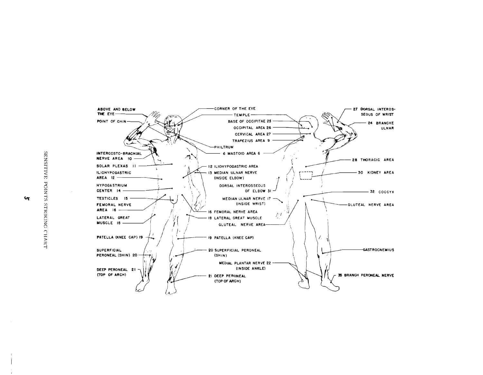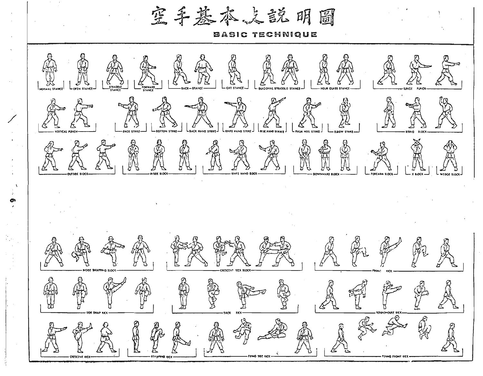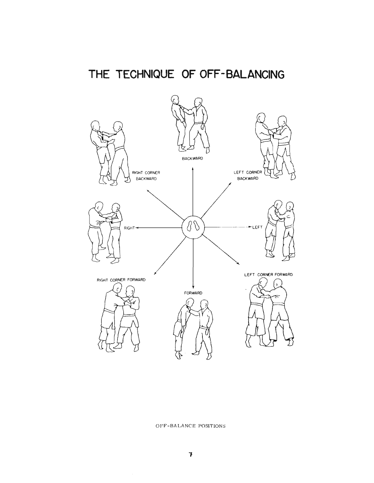# **THE TECHNIQUE OF OFF-BALANCING**



#### OFF-BALANCE POSITIONS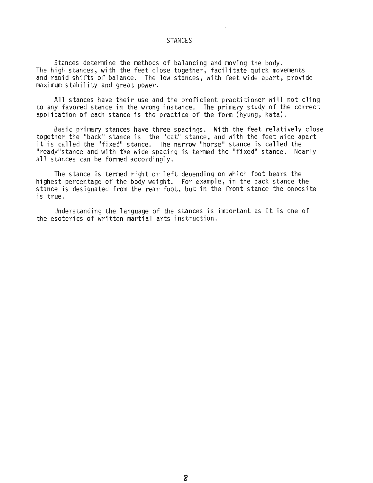#### STANCES

Stances determine the methods of balancing and moving the body. The high stances, with the feet close together, facilitate quick movements and raoid shifts of balance. The low stances, with feet wide apart, provide maximum stability and great power.

All stances have their use and the oroficient practitioner will not cling to any favored stance in the wrong instance. The primary study of the correct aoplication of each stance is the practice of the form (hyung, kata).

Basic primary stances have three spacings. With the feet relatively close together the "back" stance is the "cat" stance, and with the feet wide apart<br>it is called the "fixed" stance. The narrow "horse" stance is called the "ready" stance and with the wide spacing is termed the "fixed" stance. Nearly all stances can be formed accordingly.

The stance is termed right or left deoending on which foot bears the highest percentage of the body weight. For example, in the back stance the In the basis percentage of the body neighbor for example, in the basis beamse the<br>stance is designated from the rear foot, but in the front stance the opposite<br>is true.

Understanding the language of the stances is important as it is one of the esoterics of written martial arts instruction.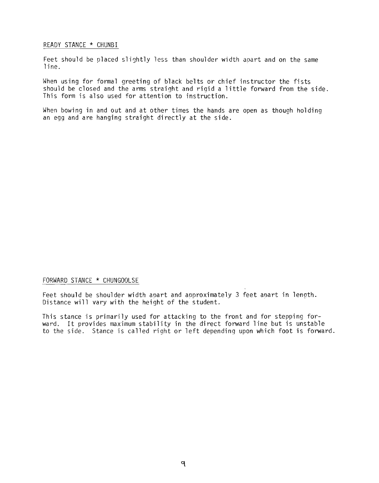# READY STANCE \* CHUNBI

Feet should be placed slightly less than shoulder width apart and on the same line.

When using for formal greeting of black belts or chief instructor the fists should be closed and the arms straight and rigid a little forward from the side. This form is also used for attention to instruction.

When bowing in and out and at other times the hands are open as though holding an egg and are hanging straight directly at the side.

# FORWARD STANCE \* CHUNGOOLSE

Feet should be shoulder width apart and approximately 3 feet apart in length. Distance will vary with the height of the student.

This stance is primarily used for attacking to the front and for stepping forward. It provides maximum stability in the direct forward line but is unstable to the side. Stance is called right or left depending upon which foot is forward.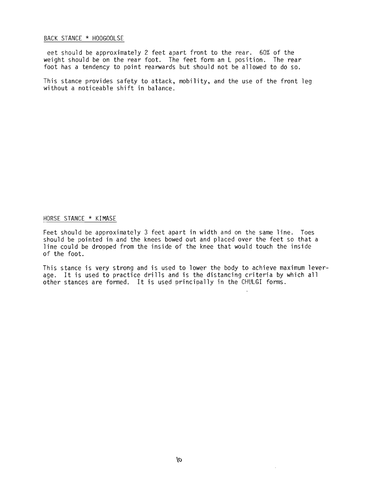#### BACK STANCE \* HOOGOOLSE

eet should be approximately 2 feet apart front to the rear. 60% of the weight should be on the rear foot. The feet form an L position. The rear foot has a tendency to point rearwards but should not be allowed to do so.

This stance provides safety to attack, mobility, and the use of the front leg without a noticeable shift in balance.

# HORSE STANCE \* KIMASE

Feet should be approximately 3 feet apart in width and on the same line. Toes should be pointed in and the knees bowed out and placed over the feet so that a line could be dropped from the inside of the knee that would touch the inside of the foot.

This stance is very strong and is used to lower the body to achieve maximum leverage. It is used to practice drills and is the distancing criteria by which all other stances are formed. It is used principally in the CHULGI forms.

÷.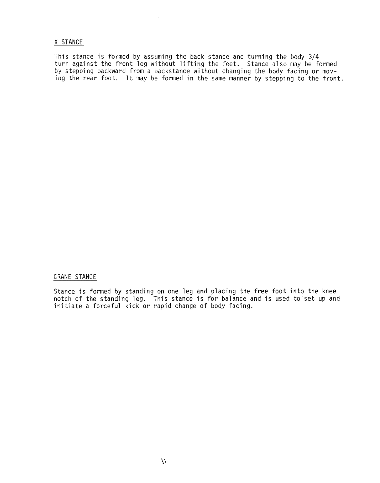#### X STANCE

This stance is formed by assuming the back stance and turning the body 3/4 turn against the front leg without lifting the feet. Stance also may be formed by stepping backward from a backstance without changing the body facing or moving the rear foot. It may be formed in the same manner by stepping to the front.

 $\sim$ 

# CRANE STANCE

Stance is formed by standing on one leg and olacing the free foot into the knee notch of the standing leg. This stance is for balance and is used to set up and initiate a forceful  $\check{\mathsf{k}}$ ick or rapid change of body facing.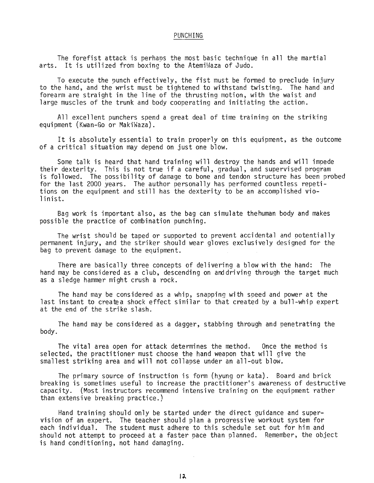#### PUNCHING

The forefist attack is perhaps the most basic technique in all the martial arts. It is utilized from boxing to the AtemiWaza of Judo.

To execute the punch effectively, the fist must be formed to preclude injury to the hand, and the wrist must be tightened to withstand twisting. The hand and forearm are straight in the line of the thrusting motion, with the waist and large muscles of the trunk and body cooperating and initiating the action.

All excellent punchers spend a great deal of time training on the striking equipment (Kwan-Go or MakiWaza).

It is absolutely essential to train properly on this equipment, as the outcome of a critical situation may depend on just one blow.

Some talk is heard that hand training will destroy the hands and will impede their dexterity. This is not true if a careful, gradual, and supervised program is followed. The possibility of damage to bone and tendon structure has been probed for the last 2000 years. The author personally has performed countless repetitions on the equipment and still has the dexterity to be an accomplished violinist.

Bag work is important also, as the bag can simulate thehuman body and makes possible the practice of combination punching.

The wrist should be taped or supported to prevent accidental and potentially permanent injury, and the striker should wear gloves exclusively designed for the bag to prevent damage to the equipment.

There are basically three concepts of delivering a blow with the hand: The hand may be considered as a club, descending on anddriving through the target much as a sledge hammer might crush a rock.

The hand may be considered as a whip, snapping with speed and power at the last instant to createa shock effect similar to that created by a bull-whip expert at the end of the strike slash.

The hand may be considered as a dagger, stabbing through and penetrating the body.

The vital area open for attack determines the method. Once the method is selected, the practitioner must choose the hand weapon that will give the smallest striking area and will not collapse under an all-out blow.

The primary source of instruction is form (hyung or kata). Board and brick breaking is sometimes useful to increase the practitioner's awareness of destructive capacity. (Most instructors recommend intensive training on the equipment rather than extensive breaking practice.)

Hand training should only be started under the direct guidance and supervision of an expert. The teacher should plan a progressive workout system for each individual. The student must adhere to this schedule set out for him and should not attempt to proceed at a faster pace than planned. Remember, the object is hand conditioning, not hand damaging.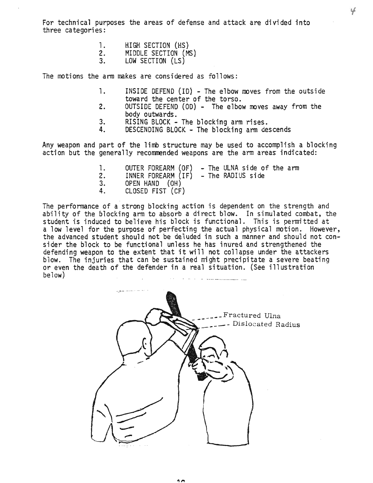For technical purposes the areas of defense and attack are divided into three categories:

- 1. HIGH SECTION (HS)<br>2. MIDDLE SECTION (M
- 2. MIDDLE SECTION (MS)<br>3. LOW SECTION (LS)
- LOW SECTION (LS)

The motions the arm makes are considered as follows:

- 1. INSIDE DEFEND (ID) The elbow moves from the outside toward the center of the torso.
- 2. OUTSIDE DEFEND (OD) The elbow moves away from the body outwards.
- 3. RISING BLOCK The blocking arm rises.<br>4. DESCENDING BLOCK The blocking arm de
- DESCENDING BLOCK The blocking arm descends

Any weapon and part of the limb structure may be used to accomplish a blocking action but the generally recommended weapons are the arm areas indicated:

1. OUTER FOREARM  $(OF) - The ULMS$  side of the arm 2. INNER FOREARM  $(IF) - The RADIUS$  side 2. INNER FOREARM (IF) - The RADIUS side<br>3. OPEN HAND (OH) 3. OPEN HAND (OH)<br>4. CLOSED FIST (CF) 4. CLOSED FIST (CF)

The performance of a strong blocking action is dependent on the strength and ability of the blocking arm to absorb a direct blow. In simulated combat, the student is induced to believe his block is functional. This is permitted at a low level for the purpose of perfecting the actual physical motion. However, the advanced student should not be deluded in such a manner and should not consider the block to be functional unless he has inured and strengthened the defending weapon to the extent that it will not collapse under the attackers blow. The injuries that can be sustained might precipitate a severe beating or even the death of the defender in a real situation. (See illustration below)